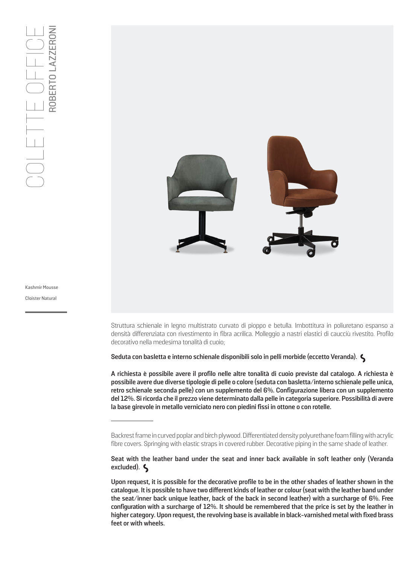

Struttura schienale in legno multistrato curvato di pioppo e betulla. Imbottitura in poliuretano espanso a densità differenziata con rivestimento in fibra acrilica. Molleggio a nastri elastici di caucciù rivestito. Profilo decorativo nella medesima tonalità di cuoio;

**Seduta con basletta e interno schienale disponibili solo in pelli morbide (eccetto Veranda).** 

**A richiesta è possibile avere il profilo nelle altre tonalità di cuoio previste dal catalogo. A richiesta è possibile avere due diverse tipologie di pelle o colore (seduta con basletta/interno schienale pelle unica, retro schienale seconda pelle) con un supplemento del 6%. Configurazione libera con un supplemento del 12%. Si ricorda che il prezzo viene determinato dalla pelle in categoria superiore. Possibilità di avere la base girevole in metallo verniciato nero con piedini fissi in ottone o con rotelle.**

**Seat with the leather band under the seat and inner back available in soft leather only (Veranda excluded).** 

**Upon request, it is possible for the decorative profile to be in the other shades of leather shown in the catalogue. It is possible to have two different kinds of leather or colour (seat with the leather band under the seat/inner back unique leather, back of the back in second leather) with a surcharge of 6%. Free configuration with a surcharge of 12%. It should be remembered that the price is set by the leather in higher category. Upon request, the revolving base is available in black-varnished metal with fixed brass feet or with wheels.**

Kashmir Mousse

**Cloister Natural** 

Backrest frame in curved poplar and birch plywood. Differentiated density polyurethane foam filling with acrylic fibre covers. Springing with elastic straps in covered rubber. Decorative piping in the same shade of leather.